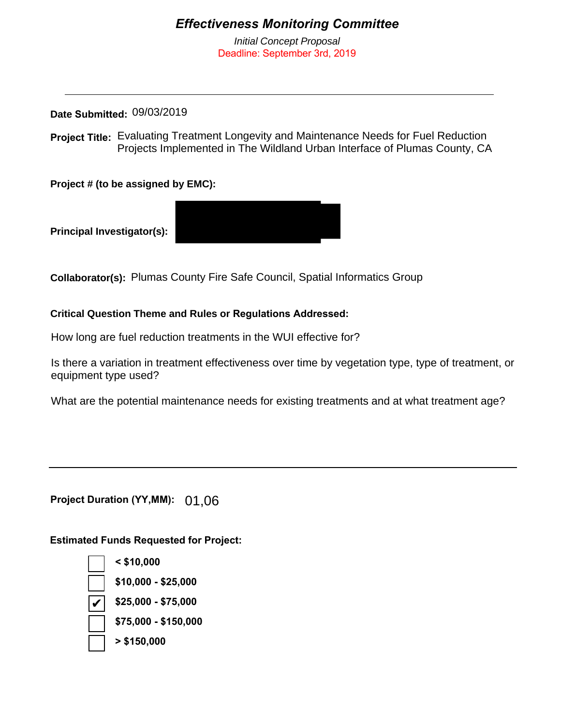## *Effectiveness Monitoring Committee*

*Initial Concept Proposal* Deadline: September 3rd, 2019

**Date Submitted:**  09/03/2019

**Project Title:** Evaluating Treatment Longevity and Maintenance Needs for Fuel Reduction Projects Implemented in The Wildland Urban Interface of Plumas County, CA

**Project # (to be assigned by EMC):**

**Principal Investigator(s):** 

**Collaborator(s):** Plumas County Fire Safe Council, Spatial Informatics Group

**Critical Question Theme and Rules or Regulations Addressed:** 

How long are fuel reduction treatments in the WUI effective for?

Is there a variation in treatment effectiveness over time by vegetation type, type of treatment, or equipment type used?

What are the potential maintenance needs for existing treatments and at what treatment age?

**Project Duration (YY,MM):** 01,06

**Estimated Funds Requested for Project:**